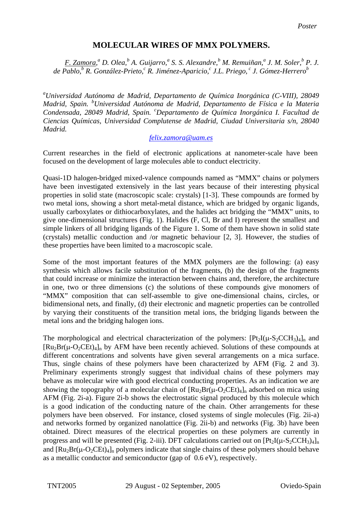# **MOLECULAR WIRES OF MMX POLYMERS.**

*F. Zamora,*<sup>*a*</sup> D. Olea,<sup>b</sup> A. Guijarro,<sup>a</sup> S. S. Alexandre,<sup>b</sup> M. Remuiñan,<sup>a</sup> J. M. Soler,<sup>b</sup> P. J. de Pablo,<sup>b</sup> R. González-Prieto,<sup>c</sup> R. Jiménez-Aparicio,<sup>c</sup> J.L. Priego, <sup>c</sup> J. Gómez-Herrero<sup>b</sup>

*a Universidad Autónoma de Madrid, Departamento de Química Inorgánica (C-VIII), 28049 Madrid, Spain. <sup>b</sup> Universidad Autónoma de Madrid, Departamento de Física e la Materia Condensada, 28049 Madrid, Spain. <sup>c</sup> Departamento de Química Inorgánica I. Facultad de Ciencias Químicas, Universidad Complutense de Madrid, Ciudad Universitaria s/n, 28040 Madrid.* 

# *[felix.zamora@uam.es](mailto:felix.zamora@uam.es)*

Current researches in the field of electronic applications at nanometer-scale have been focused on the development of large molecules able to conduct electricity.

Quasi-1D halogen-bridged mixed-valence compounds named as "MMX" chains or polymers have been investigated extensively in the last years because of their interesting physical properties in solid state (macroscopic scale: crystals) [1-3]. These compounds are formed by two metal ions, showing a short metal-metal distance, which are bridged by organic ligands, usually carboxylates or dithiocarboxylates, and the halides act bridging the "MMX" units, to give one-dimensional structures (Fig. 1). Halides (F, Cl, Br and I) represent the smallest and simple linkers of all bridging ligands of the Figure 1. Some of them have shown in solid state (crystals) metallic conduction and /or magnetic behaviour [2, 3]. However, the studies of these properties have been limited to a macroscopic scale.

Some of the most important features of the MMX polymers are the following: (a) easy synthesis which allows facile substitution of the fragments, (b) the design of the fragments that could increase or minimize the interaction between chains and, therefore, the architecture in one, two or three dimensions (c) the solutions of these compounds give monomers of "MMX" composition that can self-assemble to give one-dimensional chains, circles, or bidimensional nets, and finally, (d) their electronic and magnetic properties can be controlled by varying their constituents of the transition metal ions, the bridging ligands between the metal ions and the bridging halogen ions.

The morphological and electrical characterization of the polymers:  $[Pt_2I(\mu-S_2CCH_3)_4]_n$  and  $[Ru_2Br(\mu-O_2CEt)_4]_n$  by AFM have been recently achieved. Solutions of these compounds at different concentrations and solvents have given several arrangements on a mica surface. Thus, single chains of these polymers have been characterized by AFM (Fig. 2 and 3). Preliminary experiments strongly suggest that individual chains of these polymers may behave as molecular wire with good electrical conducting properties. As an indication we are showing the topography of a molecular chain of  $\left[\text{Ru}_2\text{Br}(\mu\text{-}O_2\text{CEt})_4\right]_n$  adsorbed on mica using AFM (Fig. 2i-a). Figure 2i-b shows the electrostatic signal produced by this molecule which is a good indication of the conducting nature of the chain. Other arrangements for these polymers have been observed. For instance, closed systems of single molecules (Fig. 2ii-a) and networks formed by organized nanolattice (Fig. 2ii-b) and networks (Fig. 3b) have been obtained. Direct measures of the electrical properties on these polymers are currently in progress and will be presented (Fig. 2-iii). DFT calculations carried out on  $[Pt_2I(\mu-S_2CCH_3)_4]_n$ and  $\left[\text{Ru}_2\text{Br}(\mu-\text{O}_2\text{CEt})_4\right]_n$  polymers indicate that single chains of these polymers should behave as a metallic conductor and semiconductor (gap of 0.6 eV), respectively.